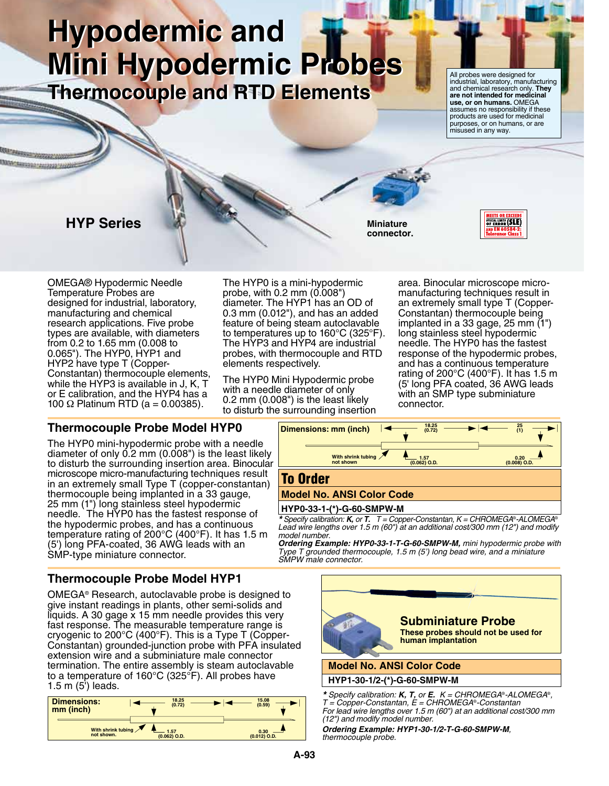# **Hypodermic and Hypodermic and Mini Hypodermic Probes Mini Hypodermic Probes Thermocouple and RTD Elements Thermocouple and RTD Elements**

All probes were designed for industrial, laboratory, manufacturing and chemical research only. **They are not intended for medicinal use, or on humans.** OMEGA assumes no responsibility if these products are used for medicinal purposes, or on humans, or are misused in any way.

# **HYP Series**

124 2223222 22222

**Miniature connector.**



OMEGA® Hypodermic Needle Temperature Probes are designed for industrial, laboratory, manufacturing and chemical research applications. Five probe types are available, with diameters from 0.2 to 1.65 mm (0.008 to 0.065"). The HYP0, HYP1 and HYP2 have type T (Copper-Constantan) thermocouple elements, while the HYP3 is available in J, K, T or E calibration, and the HYP4 has a 100 Ω Platinum RTD ( $a = 0.00385$ ).

The HYP0 is a mini-hypodermic probe, with 0.2 mm (0.008") diameter. The HYP1 has an OD of 0.3 mm (0.012"), and has an added feature of being steam autoclavable to temperatures up to 160°C (325°F). The HYP3 and HYP4 are industrial probes, with thermocouple and RTD elements respectively.

The HYP0 Mini Hypodermic probe with a needle diameter of only 0.2 mm (0.008") is the least likely to disturb the surrounding insertion

area. Binocular microscope micromanufacturing techniques result in an extremely small type T (Copper-Constantan) thermocouple being implanted in a 33 gage, 25 mm (1") F). long stainless steel hypodermic<br>il a meedle. The HYP0 has the faste needle. The HYP0 has the fastest response of the hypodermic probes, and has a continuous temperature rating of 200 $\degree$ C (400 $\degree$ F). It has 1.5 m (5' long PFA coated, 36 AWG leads with an SMP type subminiature connector.

## **Thermocouple Probe Model HYP0**

The HYP0 mini-hypodermic probe with a needle diameter of only 0.2 mm (0.008") is the least likely to disturb the surrounding insertion area. Binocular microscope micro-manufacturing techniques result in an extremely small Type T (copper-constantan) thermocouple being implanted in a 33 gauge, 25 mm (1") long stainless steel hypodermic needle. The HYP0 has the fastest response of the hypodermic probes, and has a continuous temperature rating of 200°C (400°F). It has 1.5 m (5') long PFA-coated, 36 AWG leads with an SMP-type miniature connector.



#### **HYP0-33-1-(\*)-G-60-SMPW-M**

*\* Specify calibration: K, or T. T = Copper-Constantan, K = CHROMEGA*®*-ALOMEGA*® *Lead wire lengths over 1.5 m (60") at an additional cost/300 mm (12") and modify model number.* **Dimensions: mm (inch)**

*Ordering Example: HYP0-33-1-T-G-60-SMPW-M, mini hypodermic probe with Type T grounded thermocouple, 1.5 m (5') long bead wire, and a miniature SMPW male connector.*

## **Thermocouple Probe Model HYP1**

OMEGA® Research, autoclavable probe is designed to give instant readings in plants, other semi-solids and  $l$ iro instantanta angle x 15 mm needle provides this very<br>Iguids. A 30 gage x 15 mm needle provides this very fast response. The measurable temperature range is cryogenic to 200°C (400°F). This is a Type T (Copper-Constantan) grounded-junction probe with PFA insulated extension wire and a subminiature male connector termination. The entire assembly is steam autoclavable to a temperature of 160°C (325°F). All probes have 1.5 m (5') leads.

| Dimensions:                 | 18.25          | 15.08          |
|-----------------------------|----------------|----------------|
| mm (inch)                   | (0.72)         | (0.59)         |
| With shrink tubing $\angle$ | $-1.57$        | 0.30           |
| not shown.                  | $(0.062)$ O.D. | $(0.012)$ O.D. |



**HYP1-30-1/2-(\*)-G-60-SMPW-M**

*\* Specify calibration: K, T, or E. K = CHROMEGA*®*-ALOMEGA*®*, T = Copper-Constantan, E = CHROMEGA*®*-Constantan For lead wire lengths over 1.5 m (60") at an additional cost/300 mm (12") and modify model number.*

*Ordering Example: HYP1-30-1/2-T-G-60-SMPW-M, thermocouple probe.*